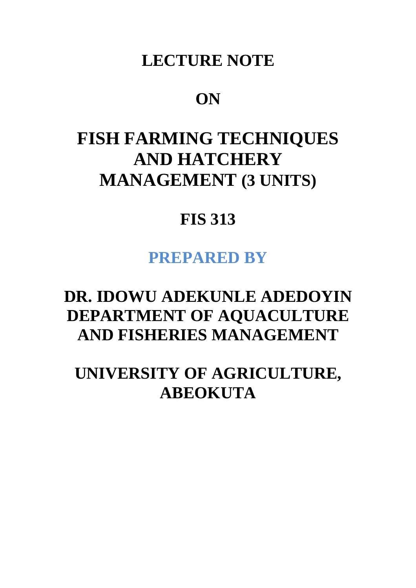## **LECTURE NOTE**

### **ON**

# **FISH FARMING TECHNIQUES AND HATCHERY MANAGEMENT (3 UNITS)**

# **FIS 313**

### **PREPARED BY**

# **DR. IDOWU ADEKUNLE ADEDOYIN DEPARTMENT OF AQUACULTURE AND FISHERIES MANAGEMENT**

**UNIVERSITY OF AGRICULTURE, ABEOKUTA**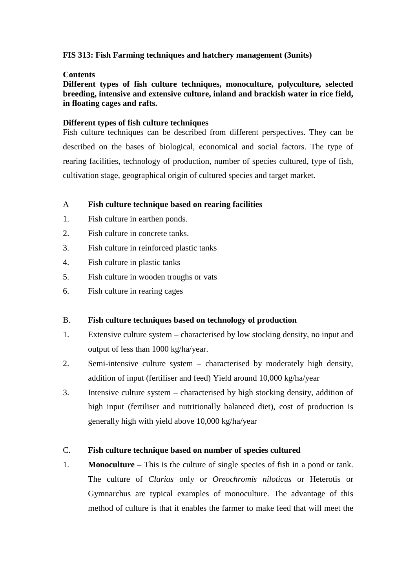#### **FIS 313: Fish Farming techniques and hatchery management (3units)**

#### **Contents**

**Different types of fish culture techniques, monoculture, polyculture, selected breeding, intensive and extensive culture, inland and brackish water in rice field, in floating cages and rafts.** 

#### **Different types of fish culture techniques**

Fish culture techniques can be described from different perspectives. They can be described on the bases of biological, economical and social factors. The type of rearing facilities, technology of production, number of species cultured, type of fish, cultivation stage, geographical origin of cultured species and target market.

#### A **Fish culture technique based on rearing facilities**

- 1. Fish culture in earthen ponds.
- 2. Fish culture in concrete tanks.
- 3. Fish culture in reinforced plastic tanks
- 4. Fish culture in plastic tanks
- 5. Fish culture in wooden troughs or vats
- 6. Fish culture in rearing cages

#### B. **Fish culture techniques based on technology of production**

- 1. Extensive culture system characterised by low stocking density, no input and output of less than 1000 kg/ha/year.
- 2. Semi-intensive culture system characterised by moderately high density, addition of input (fertiliser and feed) Yield around 10,000 kg/ha/year
- 3. Intensive culture system characterised by high stocking density, addition of high input (fertiliser and nutritionally balanced diet), cost of production is generally high with yield above 10,000 kg/ha/year

#### C. **Fish culture technique based on number of species cultured**

1. **Monoculture** – This is the culture of single species of fish in a pond or tank. The culture of *Clarias* only or *Oreochromis niloticus* or Heterotis or Gymnarchus are typical examples of monoculture. The advantage of this method of culture is that it enables the farmer to make feed that will meet the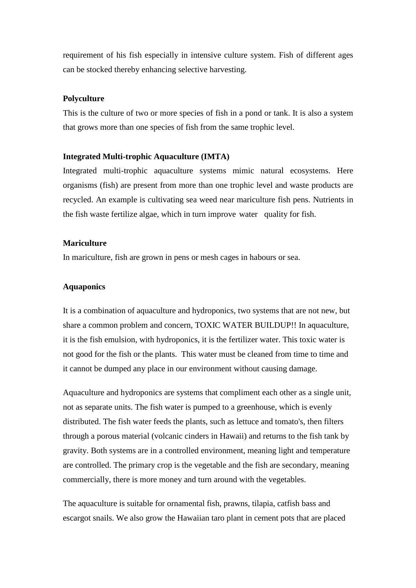requirement of his fish especially in intensive culture system. Fish of different ages can be stocked thereby enhancing selective harvesting.

#### **Polyculture**

This is the culture of two or more species of fish in a pond or tank. It is also a system that grows more than one species of fish from the same trophic level.

#### **Integrated Multi-trophic Aquaculture (IMTA)**

Integrated multi-trophic aquaculture systems mimic natural ecosystems. Here organisms (fish) are present from more than one trophic level and waste products are recycled. An example is cultivating sea weed near mariculture fish pens. Nutrients in the fish waste fertilize algae, which in turn improve water quality for fish.

#### **Mariculture**

In mariculture, fish are grown in pens or mesh cages in habours or sea.

#### **Aquaponics**

It is a combination of aquaculture and hydroponics, two systems that are not new, but share a common problem and concern, TOXIC WATER BUILDUP!! In aquaculture, it is the fish emulsion, with hydroponics, it is the fertilizer water. This toxic water is not good for the fish or the plants. This water must be cleaned from time to time and it cannot be dumped any place in our environment without causing damage.

Aquaculture and hydroponics are systems that compliment each other as a single unit, not as separate units. The fish water is pumped to a greenhouse, which is evenly distributed. The fish water feeds the plants, such as lettuce and tomato's, then filters through a porous material (volcanic cinders in Hawaii) and returns to the fish tank by gravity. Both systems are in a controlled environment, meaning light and temperature are controlled. The primary crop is the vegetable and the fish are secondary, meaning commercially, there is more money and turn around with the vegetables.

The aquaculture is suitable for ornamental fish, prawns, tilapia, catfish bass and escargot snails. We also grow the Hawaiian taro plant in cement pots that are placed